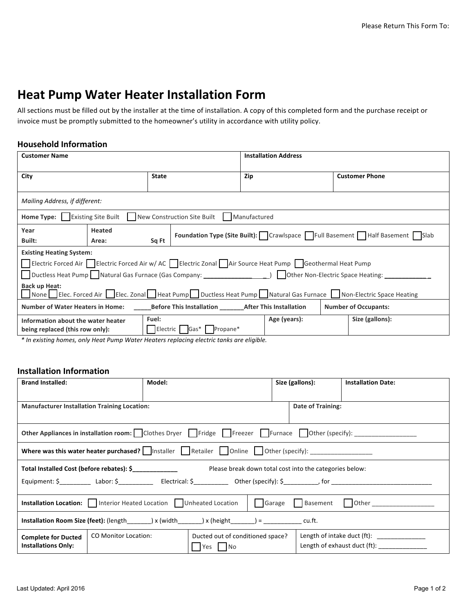# **Heat Pump Water Heater Installation Form**

All sections must be filled out by the installer at the time of installation. A copy of this completed form and the purchase receipt or invoice must be promptly submitted to the homeowner's utility in accordance with utility policy.

## **Household Information**

| <b>Customer Name</b>                                                                                                                  |               |                              | <b>Installation Address</b>                                               |                       |  |  |  |  |  |
|---------------------------------------------------------------------------------------------------------------------------------------|---------------|------------------------------|---------------------------------------------------------------------------|-----------------------|--|--|--|--|--|
|                                                                                                                                       |               |                              |                                                                           |                       |  |  |  |  |  |
| City                                                                                                                                  |               | <b>State</b>                 | Zip                                                                       | <b>Customer Phone</b> |  |  |  |  |  |
|                                                                                                                                       |               |                              |                                                                           |                       |  |  |  |  |  |
| Mailing Address, if different:                                                                                                        |               |                              |                                                                           |                       |  |  |  |  |  |
| <b>Existing Site Built</b><br>New Construction Site Built<br>Home Type:<br>Manufactured                                               |               |                              |                                                                           |                       |  |  |  |  |  |
| Year                                                                                                                                  | <b>Heated</b> |                              |                                                                           |                       |  |  |  |  |  |
| Built:                                                                                                                                | Area:         | Sq Ft                        | Foundation Type (Site Built): Crawlspace Full Basement Half Basement Slab |                       |  |  |  |  |  |
| <b>Existing Heating System:</b>                                                                                                       |               |                              |                                                                           |                       |  |  |  |  |  |
| Electric Forced Air Electric Forced Air w/ AC Electric Zonal Air Source Heat Pump Geothermal Heat Pump                                |               |                              |                                                                           |                       |  |  |  |  |  |
| Ductless Heat Pump Natural Gas Furnace (Gas Company: ____________________________ ) Dother Non-Electric Space Heating:                |               |                              |                                                                           |                       |  |  |  |  |  |
| <b>Back up Heat:</b><br>None Elec. Forced Air Elec. Zonal Heat Pump Ductless Heat Pump Natural Gas Furnace Non-Electric Space Heating |               |                              |                                                                           |                       |  |  |  |  |  |
| <b>Number of Water Heaters in Home:</b><br>Before This Installation _________ After This Installation<br><b>Number of Occupants:</b>  |               |                              |                                                                           |                       |  |  |  |  |  |
| Fuel:<br>Information about the water heater<br>being replaced (this row only):                                                        |               | Propane*<br>Electric<br>Gas* | Age (years):                                                              | Size (gallons):       |  |  |  |  |  |
|                                                                                                                                       |               |                              |                                                                           |                       |  |  |  |  |  |

*\* In existing homes, only Heat Pump Water Heaters replacing electric tanks are eligible.*

# **Installation Information**

| <b>Brand Installed:</b>                                                                                       | Model:                      |                                              | Size (gallons): |                   | <b>Installation Date:</b>                                                   |  |  |
|---------------------------------------------------------------------------------------------------------------|-----------------------------|----------------------------------------------|-----------------|-------------------|-----------------------------------------------------------------------------|--|--|
| <b>Manufacturer Installation Training Location:</b>                                                           |                             |                                              |                 | Date of Training: |                                                                             |  |  |
| Other Appliances in installation room: Clothes Dryer Fridge Freezer Furnace Other (specify):                  |                             |                                              |                 |                   |                                                                             |  |  |
| Where was this water heater purchased? $\Box$ Installer Retailer $\Box$ Online $\Box$ Other (specify):        |                             |                                              |                 |                   |                                                                             |  |  |
| Total Installed Cost (before rebates): \$<br>Please break down total cost into the categories below:          |                             |                                              |                 |                   |                                                                             |  |  |
|                                                                                                               |                             |                                              |                 |                   |                                                                             |  |  |
| Installation Location: Interior Heated Location   Unheated Location   Garage Basement   Other _______________ |                             |                                              |                 |                   |                                                                             |  |  |
| Installation Room Size (feet): (length ________) x (width _______) x (height _______) = ____________ cu.ft.   |                             |                                              |                 |                   |                                                                             |  |  |
| <b>Complete for Ducted</b><br><b>Installations Only:</b>                                                      | <b>CO Monitor Location:</b> | Ducted out of conditioned space?<br>Yes   No |                 |                   | Length of intake duct (ft): _______________<br>Length of exhaust duct (ft): |  |  |